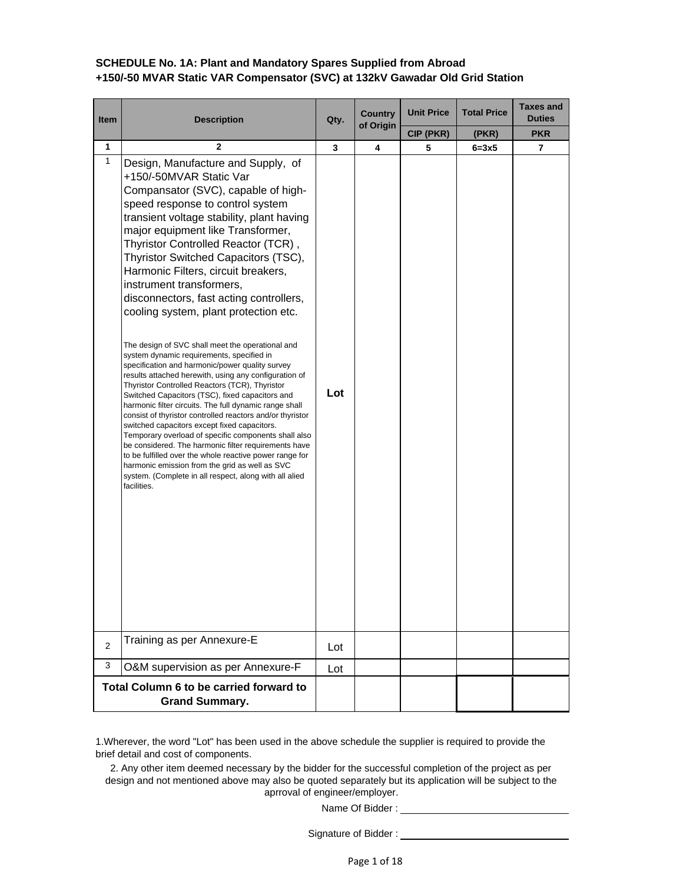## **SCHEDULE No. 1A: Plant and Mandatory Spares Supplied from Abroad +150/-50 MVAR Static VAR Compensator (SVC) at 132kV Gawadar Old Grid Station**

| <b>Item</b>    | <b>Description</b>                                                                                                                                                                                                                                                                                                                                                                                                                                                                                                                                                                                                                                                                                                                                                                                                                                                                                                                                                                                                                                                                                                                                                                                                                                              | Qty. | <b>Country</b><br>of Origin | <b>Unit Price</b> | <b>Total Price</b> | <b>Taxes and</b><br><b>Duties</b> |
|----------------|-----------------------------------------------------------------------------------------------------------------------------------------------------------------------------------------------------------------------------------------------------------------------------------------------------------------------------------------------------------------------------------------------------------------------------------------------------------------------------------------------------------------------------------------------------------------------------------------------------------------------------------------------------------------------------------------------------------------------------------------------------------------------------------------------------------------------------------------------------------------------------------------------------------------------------------------------------------------------------------------------------------------------------------------------------------------------------------------------------------------------------------------------------------------------------------------------------------------------------------------------------------------|------|-----------------------------|-------------------|--------------------|-----------------------------------|
|                |                                                                                                                                                                                                                                                                                                                                                                                                                                                                                                                                                                                                                                                                                                                                                                                                                                                                                                                                                                                                                                                                                                                                                                                                                                                                 |      |                             | CIP (PKR)         | (PKR)              | <b>PKR</b>                        |
| 1              | 2                                                                                                                                                                                                                                                                                                                                                                                                                                                                                                                                                                                                                                                                                                                                                                                                                                                                                                                                                                                                                                                                                                                                                                                                                                                               | 3    | 4                           | 5                 | $6=3x5$            | 7                                 |
| 1              | Design, Manufacture and Supply, of<br>+150/-50MVAR Static Var<br>Compansator (SVC), capable of high-<br>speed response to control system<br>transient voltage stability, plant having<br>major equipment like Transformer,<br>Thyristor Controlled Reactor (TCR),<br>Thyristor Switched Capacitors (TSC),<br>Harmonic Filters, circuit breakers,<br>instrument transformers,<br>disconnectors, fast acting controllers,<br>cooling system, plant protection etc.<br>The design of SVC shall meet the operational and<br>system dynamic requirements, specified in<br>specification and harmonic/power quality survey<br>results attached herewith, using any configuration of<br>Thyristor Controlled Reactors (TCR), Thyristor<br>Switched Capacitors (TSC), fixed capacitors and<br>harmonic filter circuits. The full dynamic range shall<br>consist of thyristor controlled reactors and/or thyristor<br>switched capacitors except fixed capacitors.<br>Temporary overload of specific components shall also<br>be considered. The harmonic filter requirements have<br>to be fulfilled over the whole reactive power range for<br>harmonic emission from the grid as well as SVC<br>system. (Complete in all respect, along with all alied<br>facilities. | Lot  |                             |                   |                    |                                   |
| $\overline{2}$ | Training as per Annexure-E                                                                                                                                                                                                                                                                                                                                                                                                                                                                                                                                                                                                                                                                                                                                                                                                                                                                                                                                                                                                                                                                                                                                                                                                                                      | Lot  |                             |                   |                    |                                   |
| 3              | O&M supervision as per Annexure-F                                                                                                                                                                                                                                                                                                                                                                                                                                                                                                                                                                                                                                                                                                                                                                                                                                                                                                                                                                                                                                                                                                                                                                                                                               | Lot  |                             |                   |                    |                                   |
|                | Total Column 6 to be carried forward to<br><b>Grand Summary.</b>                                                                                                                                                                                                                                                                                                                                                                                                                                                                                                                                                                                                                                                                                                                                                                                                                                                                                                                                                                                                                                                                                                                                                                                                |      |                             |                   |                    |                                   |

1.Wherever, the word "Lot" has been used in the above schedule the supplier is required to provide the brief detail and cost of components.

2. Any other item deemed necessary by the bidder for the successful completion of the project as per design and not mentioned above may also be quoted separately but its application will be subject to the aprroval of engineer/employer.

Name Of Bidder :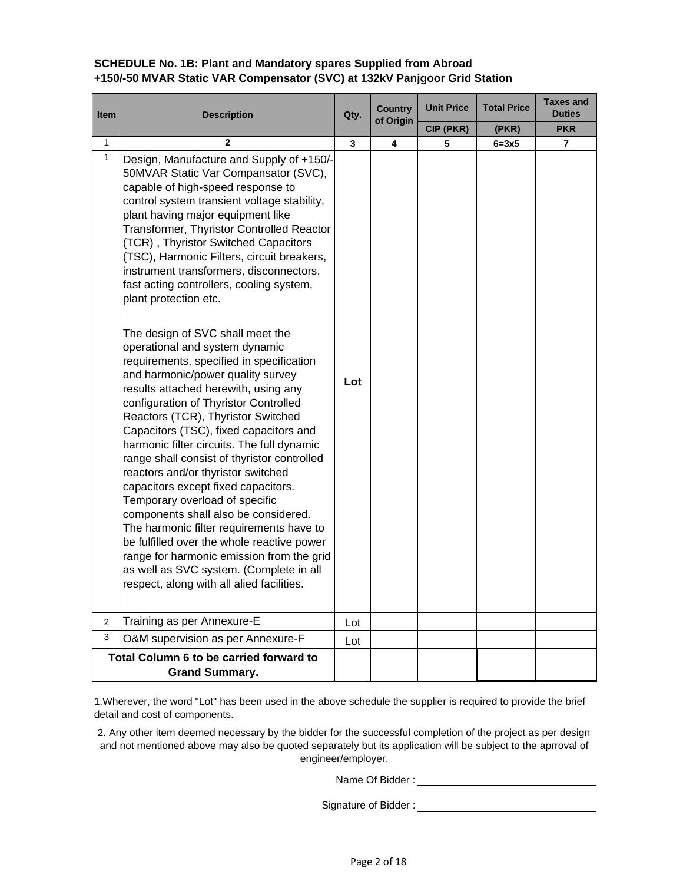# **SCHEDULE No. 1B: Plant and Mandatory spares Supplied from Abroad +150/-50 MVAR Static VAR Compensator (SVC) at 132kV Panjgoor Grid Station**

| <b>Item</b>  | <b>Description</b>                                                                                                                                                                                                                                                                                                                                                                                                                                                                                                                                                                                                                                                                                                                                                                                                                                                                                                                                                                                                                                                                                                                                                                                                                                                      | Qty. | <b>Country</b><br>of Origin | <b>Unit Price</b> | <b>Total Price</b> | <b>Taxes and</b><br><b>Duties</b> |  |
|--------------|-------------------------------------------------------------------------------------------------------------------------------------------------------------------------------------------------------------------------------------------------------------------------------------------------------------------------------------------------------------------------------------------------------------------------------------------------------------------------------------------------------------------------------------------------------------------------------------------------------------------------------------------------------------------------------------------------------------------------------------------------------------------------------------------------------------------------------------------------------------------------------------------------------------------------------------------------------------------------------------------------------------------------------------------------------------------------------------------------------------------------------------------------------------------------------------------------------------------------------------------------------------------------|------|-----------------------------|-------------------|--------------------|-----------------------------------|--|
|              |                                                                                                                                                                                                                                                                                                                                                                                                                                                                                                                                                                                                                                                                                                                                                                                                                                                                                                                                                                                                                                                                                                                                                                                                                                                                         |      |                             | CIP (PKR)         | (PKR)              | <b>PKR</b>                        |  |
| 1            | $\mathbf{z}$                                                                                                                                                                                                                                                                                                                                                                                                                                                                                                                                                                                                                                                                                                                                                                                                                                                                                                                                                                                                                                                                                                                                                                                                                                                            | 3    | 4                           | 5                 | $6 = 3x5$          | $\overline{7}$                    |  |
| $\mathbf{1}$ | Design, Manufacture and Supply of +150/-<br>50MVAR Static Var Compansator (SVC),<br>capable of high-speed response to<br>control system transient voltage stability,<br>plant having major equipment like<br>Transformer, Thyristor Controlled Reactor<br>(TCR), Thyristor Switched Capacitors<br>(TSC), Harmonic Filters, circuit breakers,<br>instrument transformers, disconnectors,<br>fast acting controllers, cooling system,<br>plant protection etc.<br>The design of SVC shall meet the<br>operational and system dynamic<br>requirements, specified in specification<br>and harmonic/power quality survey<br>results attached herewith, using any<br>configuration of Thyristor Controlled<br>Reactors (TCR), Thyristor Switched<br>Capacitors (TSC), fixed capacitors and<br>harmonic filter circuits. The full dynamic<br>range shall consist of thyristor controlled<br>reactors and/or thyristor switched<br>capacitors except fixed capacitors.<br>Temporary overload of specific<br>components shall also be considered.<br>The harmonic filter requirements have to<br>be fulfilled over the whole reactive power<br>range for harmonic emission from the grid<br>as well as SVC system. (Complete in all<br>respect, along with all alied facilities. | Lot  |                             |                   |                    |                                   |  |
| $\mathbf{2}$ | Training as per Annexure-E                                                                                                                                                                                                                                                                                                                                                                                                                                                                                                                                                                                                                                                                                                                                                                                                                                                                                                                                                                                                                                                                                                                                                                                                                                              | Lot  |                             |                   |                    |                                   |  |
| $\mathbf{3}$ | O&M supervision as per Annexure-F                                                                                                                                                                                                                                                                                                                                                                                                                                                                                                                                                                                                                                                                                                                                                                                                                                                                                                                                                                                                                                                                                                                                                                                                                                       | Lot  |                             |                   |                    |                                   |  |
|              | Total Column 6 to be carried forward to<br><b>Grand Summary.</b>                                                                                                                                                                                                                                                                                                                                                                                                                                                                                                                                                                                                                                                                                                                                                                                                                                                                                                                                                                                                                                                                                                                                                                                                        |      |                             |                   |                    |                                   |  |

1.Wherever, the word "Lot" has been used in the above schedule the supplier is required to provide the brief detail and cost of components.

2. Any other item deemed necessary by the bidder for the successful completion of the project as per design and not mentioned above may also be quoted separately but its application will be subject to the aprroval of engineer/employer.

Name Of Bidder :  $\blacksquare$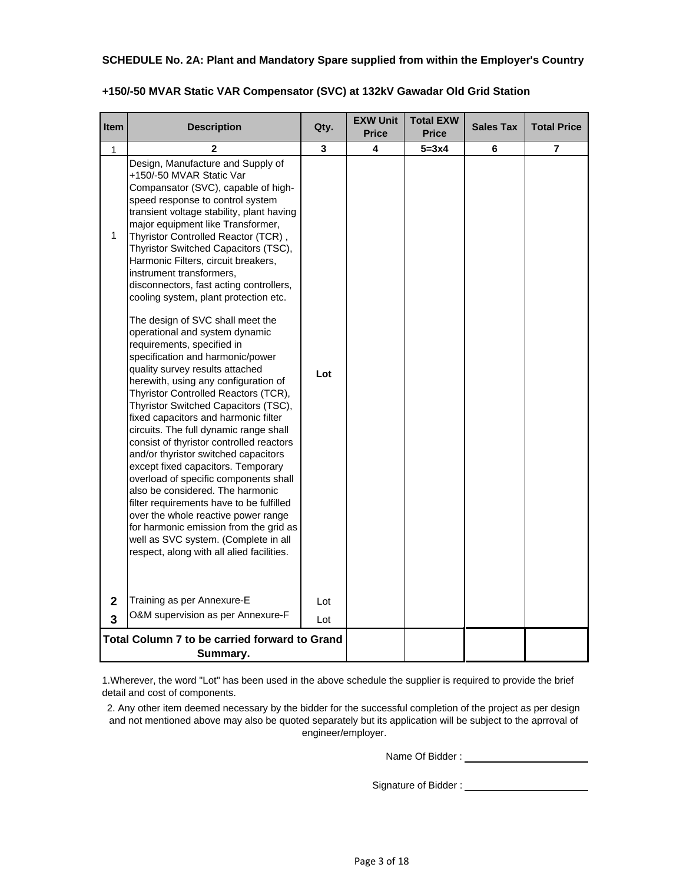### **SCHEDULE No. 2A: Plant and Mandatory Spare supplied from within the Employer's Country**

| <b>Item</b>                                               | <b>Description</b>                                                                                                                                                                                                                                                                                                                                                                                                                                                                                                                                                                                                                                                                                                                                                                                         | Qty. | <b>EXW Unit</b><br><b>Price</b> | <b>Total EXW</b><br><b>Price</b> | <b>Sales Tax</b> | <b>Total Price</b> |
|-----------------------------------------------------------|------------------------------------------------------------------------------------------------------------------------------------------------------------------------------------------------------------------------------------------------------------------------------------------------------------------------------------------------------------------------------------------------------------------------------------------------------------------------------------------------------------------------------------------------------------------------------------------------------------------------------------------------------------------------------------------------------------------------------------------------------------------------------------------------------------|------|---------------------------------|----------------------------------|------------------|--------------------|
| 1                                                         | 2                                                                                                                                                                                                                                                                                                                                                                                                                                                                                                                                                                                                                                                                                                                                                                                                          | 3    | 4                               | $5 = 3x4$                        | 6                | 7                  |
| 1                                                         | Design, Manufacture and Supply of<br>+150/-50 MVAR Static Var<br>Compansator (SVC), capable of high-<br>speed response to control system<br>transient voltage stability, plant having<br>major equipment like Transformer,<br>Thyristor Controlled Reactor (TCR),<br>Thyristor Switched Capacitors (TSC),<br>Harmonic Filters, circuit breakers,<br>instrument transformers,<br>disconnectors, fast acting controllers,<br>cooling system, plant protection etc.                                                                                                                                                                                                                                                                                                                                           |      |                                 |                                  |                  |                    |
|                                                           | The design of SVC shall meet the<br>operational and system dynamic<br>requirements, specified in<br>specification and harmonic/power<br>quality survey results attached<br>herewith, using any configuration of<br>Thyristor Controlled Reactors (TCR),<br>Thyristor Switched Capacitors (TSC),<br>fixed capacitors and harmonic filter<br>circuits. The full dynamic range shall<br>consist of thyristor controlled reactors<br>and/or thyristor switched capacitors<br>except fixed capacitors. Temporary<br>overload of specific components shall<br>also be considered. The harmonic<br>filter requirements have to be fulfilled<br>over the whole reactive power range<br>for harmonic emission from the grid as<br>well as SVC system. (Complete in all<br>respect, along with all alied facilities. | Lot  |                                 |                                  |                  |                    |
| $\overline{2}$                                            | Training as per Annexure-E                                                                                                                                                                                                                                                                                                                                                                                                                                                                                                                                                                                                                                                                                                                                                                                 | Lot  |                                 |                                  |                  |                    |
| 3                                                         | O&M supervision as per Annexure-F                                                                                                                                                                                                                                                                                                                                                                                                                                                                                                                                                                                                                                                                                                                                                                          | Lot  |                                 |                                  |                  |                    |
| Total Column 7 to be carried forward to Grand<br>Summary. |                                                                                                                                                                                                                                                                                                                                                                                                                                                                                                                                                                                                                                                                                                                                                                                                            |      |                                 |                                  |                  |                    |

## **+150/-50 MVAR Static VAR Compensator (SVC) at 132kV Gawadar Old Grid Station**

1.Wherever, the word "Lot" has been used in the above schedule the supplier is required to provide the brief detail and cost of components.

2. Any other item deemed necessary by the bidder for the successful completion of the project as per design and not mentioned above may also be quoted separately but its application will be subject to the aprroval of engineer/employer.

Name Of Bidder :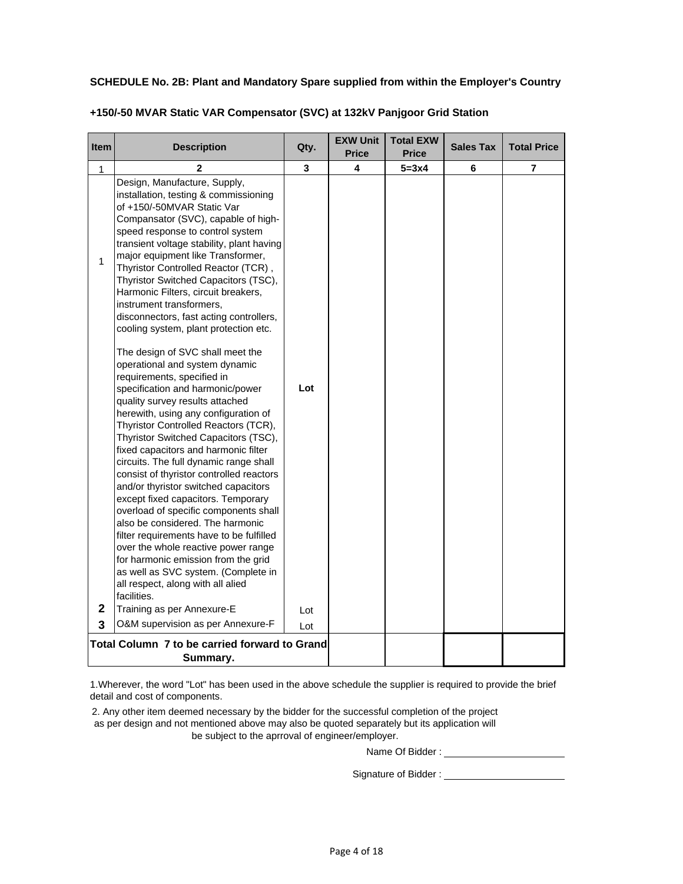### **SCHEDULE No. 2B: Plant and Mandatory Spare supplied from within the Employer's Country**

| <b>Item</b>      | <b>Description</b>                                                                                                                                                                                                                                                                                                                                                                                                                                                                                                                                                                                                                                                                                                                                                                                                                                                               | Qty.              | <b>EXW Unit</b><br><b>Price</b> | <b>Total EXW</b><br><b>Price</b> | <b>Sales Tax</b> | <b>Total Price</b> |
|------------------|----------------------------------------------------------------------------------------------------------------------------------------------------------------------------------------------------------------------------------------------------------------------------------------------------------------------------------------------------------------------------------------------------------------------------------------------------------------------------------------------------------------------------------------------------------------------------------------------------------------------------------------------------------------------------------------------------------------------------------------------------------------------------------------------------------------------------------------------------------------------------------|-------------------|---------------------------------|----------------------------------|------------------|--------------------|
| 1                | $\mathbf{2}$                                                                                                                                                                                                                                                                                                                                                                                                                                                                                                                                                                                                                                                                                                                                                                                                                                                                     | 3                 | 4                               | $5 = 3x4$                        | 6                | 7                  |
| $\mathbf{1}$     | Design, Manufacture, Supply,<br>installation, testing & commissioning<br>of +150/-50MVAR Static Var<br>Compansator (SVC), capable of high-<br>speed response to control system<br>transient voltage stability, plant having<br>major equipment like Transformer,<br>Thyristor Controlled Reactor (TCR),<br>Thyristor Switched Capacitors (TSC),<br>Harmonic Filters, circuit breakers,<br>instrument transformers,<br>disconnectors, fast acting controllers,<br>cooling system, plant protection etc.                                                                                                                                                                                                                                                                                                                                                                           |                   |                                 |                                  |                  |                    |
| $\mathbf 2$<br>3 | The design of SVC shall meet the<br>operational and system dynamic<br>requirements, specified in<br>specification and harmonic/power<br>quality survey results attached<br>herewith, using any configuration of<br>Thyristor Controlled Reactors (TCR),<br>Thyristor Switched Capacitors (TSC),<br>fixed capacitors and harmonic filter<br>circuits. The full dynamic range shall<br>consist of thyristor controlled reactors<br>and/or thyristor switched capacitors<br>except fixed capacitors. Temporary<br>overload of specific components shall<br>also be considered. The harmonic<br>filter requirements have to be fulfilled<br>over the whole reactive power range<br>for harmonic emission from the grid<br>as well as SVC system. (Complete in<br>all respect, along with all alied<br>facilities.<br>Training as per Annexure-E<br>O&M supervision as per Annexure-F | Lot<br>Lot<br>Lot |                                 |                                  |                  |                    |
|                  |                                                                                                                                                                                                                                                                                                                                                                                                                                                                                                                                                                                                                                                                                                                                                                                                                                                                                  |                   |                                 |                                  |                  |                    |
|                  | Total Column 7 to be carried forward to Grand<br>Summary.                                                                                                                                                                                                                                                                                                                                                                                                                                                                                                                                                                                                                                                                                                                                                                                                                        |                   |                                 |                                  |                  |                    |

## **+150/-50 MVAR Static VAR Compensator (SVC) at 132kV Panjgoor Grid Station**

1.Wherever, the word "Lot" has been used in the above schedule the supplier is required to provide the brief detail and cost of components.

2. Any other item deemed necessary by the bidder for the successful completion of the project as per design and not mentioned above may also be quoted separately but its application will be subject to the aprroval of engineer/employer.

Name Of Bidder :

Signature of Bidder : \_\_\_\_\_\_\_\_\_\_\_\_\_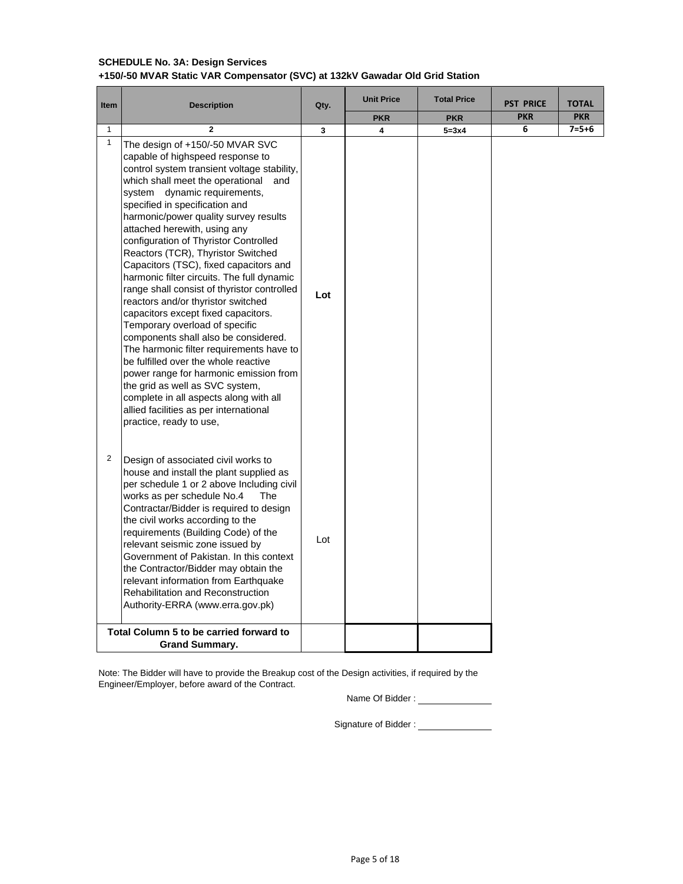### **SCHEDULE No. 3A: Design Services +150/-50 MVAR Static VAR Compensator (SVC) at 132kV Gawadar Old Grid Station**

| <b>Item</b>    | <b>Description</b>                                                                                                                                                                                                                                                                                                                                                                                                                                                                                                                                                                                                                                                                                                                                                                                                                                                                                                                                                 | Qty. | <b>Unit Price</b> | <b>Total Price</b> | <b>PST PRICE</b> | <b>TOTAL</b> |  |
|----------------|--------------------------------------------------------------------------------------------------------------------------------------------------------------------------------------------------------------------------------------------------------------------------------------------------------------------------------------------------------------------------------------------------------------------------------------------------------------------------------------------------------------------------------------------------------------------------------------------------------------------------------------------------------------------------------------------------------------------------------------------------------------------------------------------------------------------------------------------------------------------------------------------------------------------------------------------------------------------|------|-------------------|--------------------|------------------|--------------|--|
|                |                                                                                                                                                                                                                                                                                                                                                                                                                                                                                                                                                                                                                                                                                                                                                                                                                                                                                                                                                                    |      | <b>PKR</b>        | <b>PKR</b>         | <b>PKR</b>       | <b>PKR</b>   |  |
| $\mathbf{1}$   | $\mathbf{2}$                                                                                                                                                                                                                                                                                                                                                                                                                                                                                                                                                                                                                                                                                                                                                                                                                                                                                                                                                       | 3    | 4                 | $5 = 3x4$          | 6                | $7 = 5 + 6$  |  |
| $\mathbf{1}$   | The design of +150/-50 MVAR SVC<br>capable of highspeed response to<br>control system transient voltage stability,<br>which shall meet the operational and<br>system dynamic requirements,<br>specified in specification and<br>harmonic/power quality survey results<br>attached herewith, using any<br>configuration of Thyristor Controlled<br>Reactors (TCR), Thyristor Switched<br>Capacitors (TSC), fixed capacitors and<br>harmonic filter circuits. The full dynamic<br>range shall consist of thyristor controlled<br>reactors and/or thyristor switched<br>capacitors except fixed capacitors.<br>Temporary overload of specific<br>components shall also be considered.<br>The harmonic filter requirements have to<br>be fulfilled over the whole reactive<br>power range for harmonic emission from<br>the grid as well as SVC system,<br>complete in all aspects along with all<br>allied facilities as per international<br>practice, ready to use, | Lot  |                   |                    |                  |              |  |
| $\overline{2}$ | Design of associated civil works to<br>house and install the plant supplied as<br>per schedule 1 or 2 above Including civil<br>works as per schedule No.4<br>The<br>Contractar/Bidder is required to design<br>the civil works according to the<br>requirements (Building Code) of the<br>relevant seismic zone issued by<br>Government of Pakistan. In this context<br>the Contractor/Bidder may obtain the<br>relevant information from Earthquake<br><b>Rehabilitation and Reconstruction</b><br>Authority-ERRA (www.erra.gov.pk)                                                                                                                                                                                                                                                                                                                                                                                                                               | Lot  |                   |                    |                  |              |  |
|                | Total Column 5 to be carried forward to<br><b>Grand Summary.</b>                                                                                                                                                                                                                                                                                                                                                                                                                                                                                                                                                                                                                                                                                                                                                                                                                                                                                                   |      |                   |                    |                  |              |  |

Note: The Bidder will have to provide the Breakup cost of the Design activities, if required by the Engineer/Employer, before award of the Contract.

Name Of Bidder :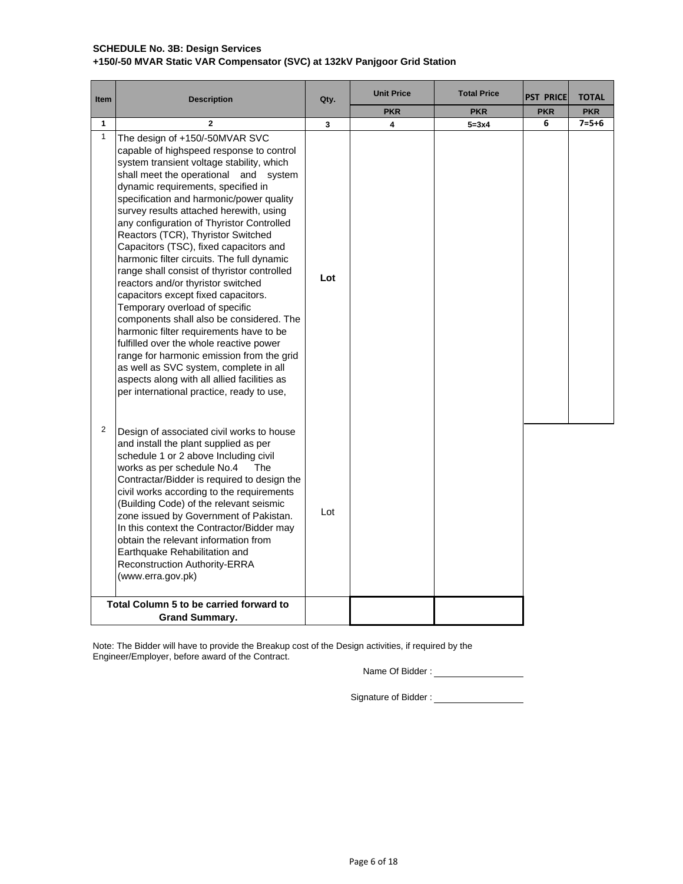## **SCHEDULE No. 3B: Design Services +150/-50 MVAR Static VAR Compensator (SVC) at 132kV Panjgoor Grid Station**

| <b>Item</b>  | <b>Description</b>                                                                                                                                                                                                                                                                                                                                                                                                                                                                                                                                                                                                                                                                                                                                                                                                                                                                                                                                          | Qty. | <b>Unit Price</b> | <b>Total Price</b> | <b>PST PRICE</b> | <b>TOTAL</b> |
|--------------|-------------------------------------------------------------------------------------------------------------------------------------------------------------------------------------------------------------------------------------------------------------------------------------------------------------------------------------------------------------------------------------------------------------------------------------------------------------------------------------------------------------------------------------------------------------------------------------------------------------------------------------------------------------------------------------------------------------------------------------------------------------------------------------------------------------------------------------------------------------------------------------------------------------------------------------------------------------|------|-------------------|--------------------|------------------|--------------|
|              |                                                                                                                                                                                                                                                                                                                                                                                                                                                                                                                                                                                                                                                                                                                                                                                                                                                                                                                                                             |      | <b>PKR</b>        | <b>PKR</b>         | <b>PKR</b>       | <b>PKR</b>   |
| $\mathbf{1}$ | $\overline{2}$                                                                                                                                                                                                                                                                                                                                                                                                                                                                                                                                                                                                                                                                                                                                                                                                                                                                                                                                              | 3    | 4                 | $5 = 3x4$          | 6                | $7 = 5 + 6$  |
| $\mathbf{1}$ | The design of +150/-50MVAR SVC<br>capable of highspeed response to control<br>system transient voltage stability, which<br>shall meet the operational and system<br>dynamic requirements, specified in<br>specification and harmonic/power quality<br>survey results attached herewith, using<br>any configuration of Thyristor Controlled<br>Reactors (TCR), Thyristor Switched<br>Capacitors (TSC), fixed capacitors and<br>harmonic filter circuits. The full dynamic<br>range shall consist of thyristor controlled<br>reactors and/or thyristor switched<br>capacitors except fixed capacitors.<br>Temporary overload of specific<br>components shall also be considered. The<br>harmonic filter requirements have to be<br>fulfilled over the whole reactive power<br>range for harmonic emission from the grid<br>as well as SVC system, complete in all<br>aspects along with all allied facilities as<br>per international practice, ready to use, | Lot  |                   |                    |                  |              |
| 2            | Design of associated civil works to house<br>and install the plant supplied as per<br>schedule 1 or 2 above Including civil<br>works as per schedule No.4<br>The<br>Contractar/Bidder is required to design the<br>civil works according to the requirements<br>(Building Code) of the relevant seismic<br>zone issued by Government of Pakistan.<br>In this context the Contractor/Bidder may<br>obtain the relevant information from<br>Earthquake Rehabilitation and<br>Reconstruction Authority-ERRA<br>(www.erra.gov.pk)                                                                                                                                                                                                                                                                                                                                                                                                                               | Lot  |                   |                    |                  |              |
|              | Total Column 5 to be carried forward to<br><b>Grand Summary.</b>                                                                                                                                                                                                                                                                                                                                                                                                                                                                                                                                                                                                                                                                                                                                                                                                                                                                                            |      |                   |                    |                  |              |

Note: The Bidder will have to provide the Breakup cost of the Design activities, if required by the Engineer/Employer, before award of the Contract.

Name Of Bidder :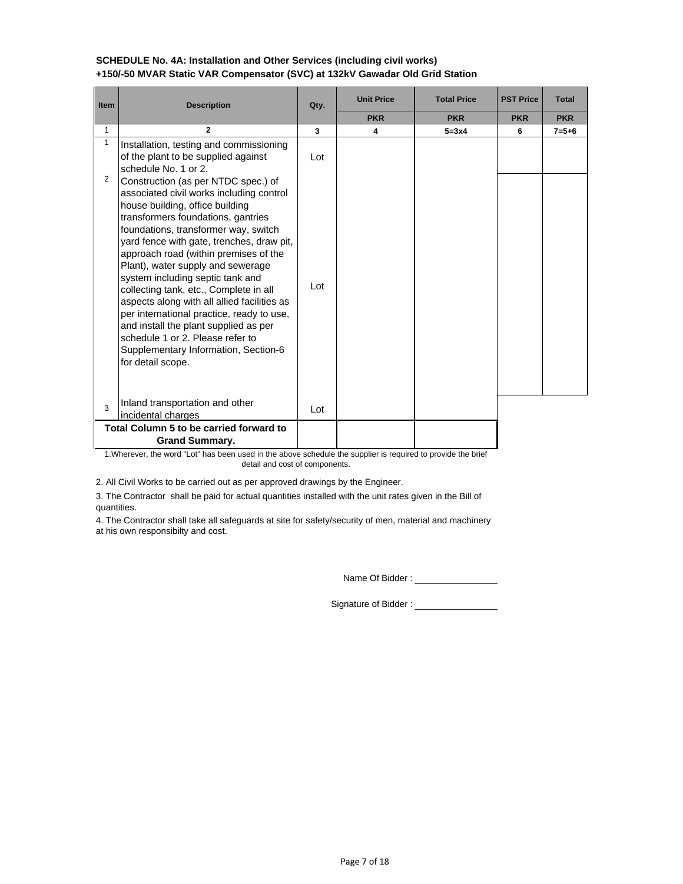| <b>Item</b>       | <b>Description</b>                                                                                                                                                                                                                                                                                                                                                                                                                                                                                                                                                                                                                                                                                                                                        | Qty.       | <b>Unit Price</b> | <b>Total Price</b> | <b>PST Price</b> | <b>Total</b> |
|-------------------|-----------------------------------------------------------------------------------------------------------------------------------------------------------------------------------------------------------------------------------------------------------------------------------------------------------------------------------------------------------------------------------------------------------------------------------------------------------------------------------------------------------------------------------------------------------------------------------------------------------------------------------------------------------------------------------------------------------------------------------------------------------|------------|-------------------|--------------------|------------------|--------------|
|                   |                                                                                                                                                                                                                                                                                                                                                                                                                                                                                                                                                                                                                                                                                                                                                           |            | <b>PKR</b>        | <b>PKR</b>         | <b>PKR</b>       | <b>PKR</b>   |
| $\mathbf{1}$      | $\mathbf{2}$                                                                                                                                                                                                                                                                                                                                                                                                                                                                                                                                                                                                                                                                                                                                              | 3          | 4                 | $5 = 3x4$          | 6                | $7 = 5 + 6$  |
| $\mathbf{1}$<br>2 | Installation, testing and commissioning<br>of the plant to be supplied against<br>schedule No. 1 or 2.<br>Construction (as per NTDC spec.) of<br>associated civil works including control<br>house building, office building<br>transformers foundations, gantries<br>foundations, transformer way, switch<br>yard fence with gate, trenches, draw pit,<br>approach road (within premises of the<br>Plant), water supply and sewerage<br>system including septic tank and<br>collecting tank, etc., Complete in all<br>aspects along with all allied facilities as<br>per international practice, ready to use,<br>and install the plant supplied as per<br>schedule 1 or 2. Please refer to<br>Supplementary Information, Section-6<br>for detail scope. | Lot<br>Lot |                   |                    |                  |              |
| 3                 | Inland transportation and other<br>incidental charges                                                                                                                                                                                                                                                                                                                                                                                                                                                                                                                                                                                                                                                                                                     | Lot        |                   |                    |                  |              |
|                   | Total Column 5 to be carried forward to                                                                                                                                                                                                                                                                                                                                                                                                                                                                                                                                                                                                                                                                                                                   |            |                   |                    |                  |              |
|                   | <b>Grand Summary.</b>                                                                                                                                                                                                                                                                                                                                                                                                                                                                                                                                                                                                                                                                                                                                     |            |                   |                    |                  |              |

### **SCHEDULE No. 4A: Installation and Other Services (including civil works) +150/-50 MVAR Static VAR Compensator (SVC) at 132kV Gawadar Old Grid Station**

1.Wherever, the word "Lot" has been used in the above schedule the supplier is required to provide the brief detail and cost of components.

2. All Civil Works to be carried out as per approved drawings by the Engineer.

3. The Contractor shall be paid for actual quantities installed with the unit rates given in the Bill of quantities.

4. The Contractor shall take all safeguards at site for safety/security of men, material and machinery at his own responsibilty and cost.

Name Of Bidder :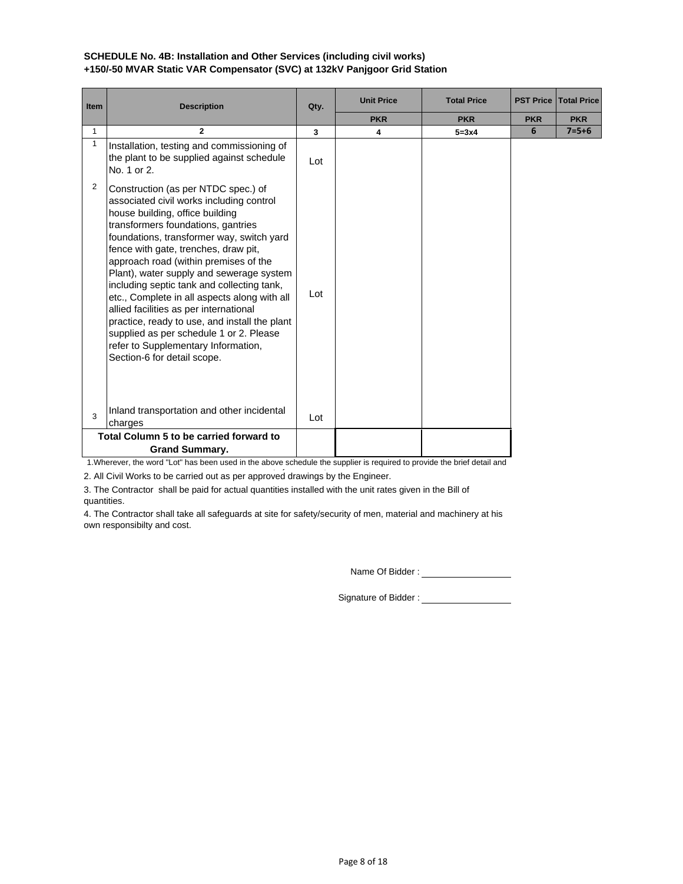## **SCHEDULE No. 4B: Installation and Other Services (including civil works) +150/-50 MVAR Static VAR Compensator (SVC) at 132kV Panjgoor Grid Station**

| Item | <b>Description</b>                                                                                                                                                                                                                                                                                                                                                                                                                                                                                                                                                                                                                           | Qty. | <b>Unit Price</b> | <b>Total Price</b> | <b>PST Price</b> | <b>Total Price</b> |
|------|----------------------------------------------------------------------------------------------------------------------------------------------------------------------------------------------------------------------------------------------------------------------------------------------------------------------------------------------------------------------------------------------------------------------------------------------------------------------------------------------------------------------------------------------------------------------------------------------------------------------------------------------|------|-------------------|--------------------|------------------|--------------------|
|      |                                                                                                                                                                                                                                                                                                                                                                                                                                                                                                                                                                                                                                              |      | <b>PKR</b>        | <b>PKR</b>         | <b>PKR</b>       | <b>PKR</b>         |
| 1    | $\mathbf{2}$                                                                                                                                                                                                                                                                                                                                                                                                                                                                                                                                                                                                                                 | 3    | 4                 | $5 = 3x4$          | 6                | $7 = 5 + 6$        |
| 1    | Installation, testing and commissioning of<br>the plant to be supplied against schedule<br>No. 1 or 2.                                                                                                                                                                                                                                                                                                                                                                                                                                                                                                                                       | Lot  |                   |                    |                  |                    |
| 2    | Construction (as per NTDC spec.) of<br>associated civil works including control<br>house building, office building<br>transformers foundations, gantries<br>foundations, transformer way, switch yard<br>fence with gate, trenches, draw pit,<br>approach road (within premises of the<br>Plant), water supply and sewerage system<br>including septic tank and collecting tank,<br>etc., Complete in all aspects along with all<br>allied facilities as per international<br>practice, ready to use, and install the plant<br>supplied as per schedule 1 or 2. Please<br>refer to Supplementary Information,<br>Section-6 for detail scope. | Lot  |                   |                    |                  |                    |
| 3    | Inland transportation and other incidental<br>charges                                                                                                                                                                                                                                                                                                                                                                                                                                                                                                                                                                                        | Lot  |                   |                    |                  |                    |
|      | Total Column 5 to be carried forward to<br><b>Grand Summary.</b>                                                                                                                                                                                                                                                                                                                                                                                                                                                                                                                                                                             |      |                   |                    |                  |                    |

1.Wherever, the word "Lot" has been used in the above schedule the supplier is required to provide the brief detail and

2. All Civil Works to be carried out as per approved drawings by the Engineer.

3. The Contractor shall be paid for actual quantities installed with the unit rates given in the Bill of quantities.

4. The Contractor shall take all safeguards at site for safety/security of men, material and machinery at his own responsibilty and cost.

Name Of Bidder :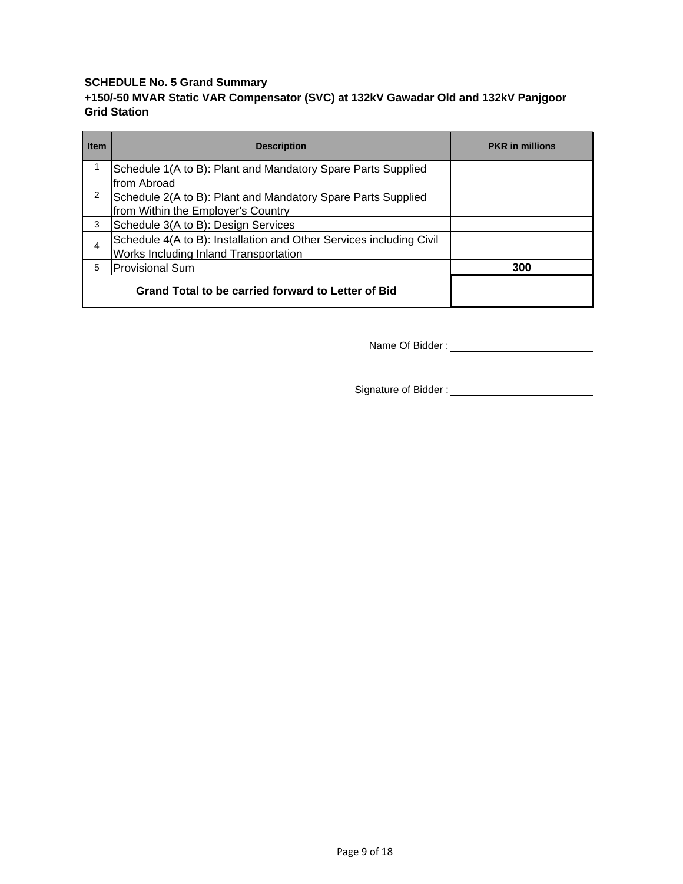# **SCHEDULE No. 5 Grand Summary**

# **+150/-50 MVAR Static VAR Compensator (SVC) at 132kV Gawadar Old and 132kV Panjgoor Grid Station**

| <b>Item</b> | <b>Description</b>                                                  | <b>PKR</b> in millions |
|-------------|---------------------------------------------------------------------|------------------------|
|             | Schedule 1(A to B): Plant and Mandatory Spare Parts Supplied        |                        |
|             | from Abroad                                                         |                        |
| 2           | Schedule 2(A to B): Plant and Mandatory Spare Parts Supplied        |                        |
|             | from Within the Employer's Country                                  |                        |
| 3           | Schedule 3(A to B): Design Services                                 |                        |
| 4           | Schedule 4(A to B): Installation and Other Services including Civil |                        |
|             | Works Including Inland Transportation                               |                        |
| 5           | Provisional Sum                                                     | 300                    |
|             | Grand Total to be carried forward to Letter of Bid                  |                        |

Name Of Bidder :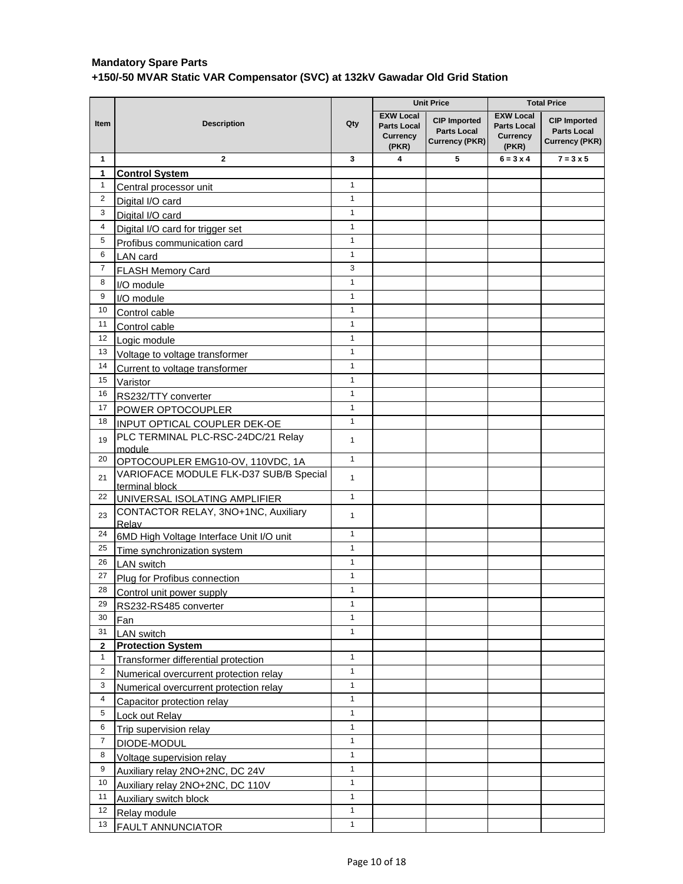|                |                                                          |              |                                                                    | <b>Unit Price</b>                                           | <b>Total Price</b>                                                 |                                                             |
|----------------|----------------------------------------------------------|--------------|--------------------------------------------------------------------|-------------------------------------------------------------|--------------------------------------------------------------------|-------------------------------------------------------------|
| Item           | <b>Description</b>                                       | Qty          | <b>EXW Local</b><br><b>Parts Local</b><br><b>Currency</b><br>(PKR) | <b>CIP Imported</b><br><b>Parts Local</b><br>Currency (PKR) | <b>EXW Local</b><br><b>Parts Local</b><br><b>Currency</b><br>(PKR) | <b>CIP Imported</b><br><b>Parts Local</b><br>Currency (PKR) |
| 1              | $\mathbf{2}$                                             | 3            | 4                                                                  | 5                                                           | $6 = 3 \times 4$                                                   | $7 = 3 \times 5$                                            |
| 1              | <b>Control System</b>                                    |              |                                                                    |                                                             |                                                                    |                                                             |
| $\mathbf{1}$   | Central processor unit                                   | $\mathbf{1}$ |                                                                    |                                                             |                                                                    |                                                             |
| $\overline{2}$ | Digital I/O card                                         | $\mathbf{1}$ |                                                                    |                                                             |                                                                    |                                                             |
| $\mathbf{3}$   | Digital I/O card                                         | $\mathbf{1}$ |                                                                    |                                                             |                                                                    |                                                             |
| 4              | Digital I/O card for trigger set                         | $\mathbf{1}$ |                                                                    |                                                             |                                                                    |                                                             |
| 5              | Profibus communication card                              | $\mathbf{1}$ |                                                                    |                                                             |                                                                    |                                                             |
| 6              | LAN card                                                 | $\mathbf{1}$ |                                                                    |                                                             |                                                                    |                                                             |
| $\overline{7}$ | <b>FLASH Memory Card</b>                                 | 3            |                                                                    |                                                             |                                                                    |                                                             |
| 8              | I/O module                                               | $\mathbf{1}$ |                                                                    |                                                             |                                                                    |                                                             |
| 9              | I/O module                                               | $\mathbf{1}$ |                                                                    |                                                             |                                                                    |                                                             |
| 10             | Control cable                                            | $\mathbf{1}$ |                                                                    |                                                             |                                                                    |                                                             |
| 11             | Control cable                                            | $\mathbf{1}$ |                                                                    |                                                             |                                                                    |                                                             |
| 12             | Logic module                                             | $\mathbf{1}$ |                                                                    |                                                             |                                                                    |                                                             |
| 13             | Voltage to voltage transformer                           | $\mathbf{1}$ |                                                                    |                                                             |                                                                    |                                                             |
| 14             | Current to voltage transformer                           | $\mathbf{1}$ |                                                                    |                                                             |                                                                    |                                                             |
| 15             | Varistor                                                 | $\mathbf{1}$ |                                                                    |                                                             |                                                                    |                                                             |
| 16             | RS232/TTY converter                                      | $\mathbf{1}$ |                                                                    |                                                             |                                                                    |                                                             |
| 17             | POWER OPTOCOUPLER                                        | $\mathbf{1}$ |                                                                    |                                                             |                                                                    |                                                             |
| 18             | INPUT OPTICAL COUPLER DEK-OE                             | $\mathbf{1}$ |                                                                    |                                                             |                                                                    |                                                             |
| 19             | PLC TERMINAL PLC-RSC-24DC/21 Relay<br>module             | 1            |                                                                    |                                                             |                                                                    |                                                             |
| 20             | OPTOCOUPLER EMG10-OV, 110VDC, 1A                         | $\mathbf{1}$ |                                                                    |                                                             |                                                                    |                                                             |
| 21             | VARIOFACE MODULE FLK-D37 SUB/B Special<br>terminal block | $\mathbf{1}$ |                                                                    |                                                             |                                                                    |                                                             |
| 22             | UNIVERSAL ISOLATING AMPLIFIER                            | $\mathbf{1}$ |                                                                    |                                                             |                                                                    |                                                             |
| 23             | CONTACTOR RELAY, 3NO+1NC, Auxiliary<br>Relav             | 1            |                                                                    |                                                             |                                                                    |                                                             |
| 24             | 6MD High Voltage Interface Unit I/O unit                 | $\mathbf{1}$ |                                                                    |                                                             |                                                                    |                                                             |
| 25             | Time synchronization system                              | $\mathbf{1}$ |                                                                    |                                                             |                                                                    |                                                             |
| 26             | <b>LAN</b> switch                                        | $\mathbf{1}$ |                                                                    |                                                             |                                                                    |                                                             |
| 27             | Plug for Profibus connection                             | $\mathbf{1}$ |                                                                    |                                                             |                                                                    |                                                             |
| 28             | Control unit power supply                                | $\mathbf{1}$ |                                                                    |                                                             |                                                                    |                                                             |
| 29             | RS232-RS485 converter                                    | $\mathbf{1}$ |                                                                    |                                                             |                                                                    |                                                             |
| 30             | Fan                                                      | $\mathbf{1}$ |                                                                    |                                                             |                                                                    |                                                             |
| 31             | <b>LAN</b> switch                                        | $\mathbf{1}$ |                                                                    |                                                             |                                                                    |                                                             |
| $\mathbf{2}$   | <b>Protection System</b>                                 |              |                                                                    |                                                             |                                                                    |                                                             |
| $\mathbf{1}$   | Transformer differential protection                      | $\mathbf{1}$ |                                                                    |                                                             |                                                                    |                                                             |
| $\overline{2}$ | Numerical overcurrent protection relay                   | $\mathbf{1}$ |                                                                    |                                                             |                                                                    |                                                             |
| 3              | Numerical overcurrent protection relay                   | $\mathbf{1}$ |                                                                    |                                                             |                                                                    |                                                             |
| 4              | Capacitor protection relay                               | $\mathbf{1}$ |                                                                    |                                                             |                                                                    |                                                             |
| 5              | Lock out Relay                                           | $\mathbf{1}$ |                                                                    |                                                             |                                                                    |                                                             |
| 6              | Trip supervision relay                                   | $\mathbf{1}$ |                                                                    |                                                             |                                                                    |                                                             |
| $\overline{7}$ | DIODE-MODUL                                              | $\mathbf{1}$ |                                                                    |                                                             |                                                                    |                                                             |
| 8              | Voltage supervision relay                                | $\mathbf{1}$ |                                                                    |                                                             |                                                                    |                                                             |
| 9              | Auxiliary relay 2NO+2NC, DC 24V                          | $\mathbf{1}$ |                                                                    |                                                             |                                                                    |                                                             |
| 10             | Auxiliary relay 2NO+2NC, DC 110V                         | $\mathbf{1}$ |                                                                    |                                                             |                                                                    |                                                             |
| 11             | Auxiliary switch block                                   | $\mathbf{1}$ |                                                                    |                                                             |                                                                    |                                                             |
| 12             | Relay module                                             | $\mathbf{1}$ |                                                                    |                                                             |                                                                    |                                                             |
| 13             | <b>FAULT ANNUNCIATOR</b>                                 | $\mathbf{1}$ |                                                                    |                                                             |                                                                    |                                                             |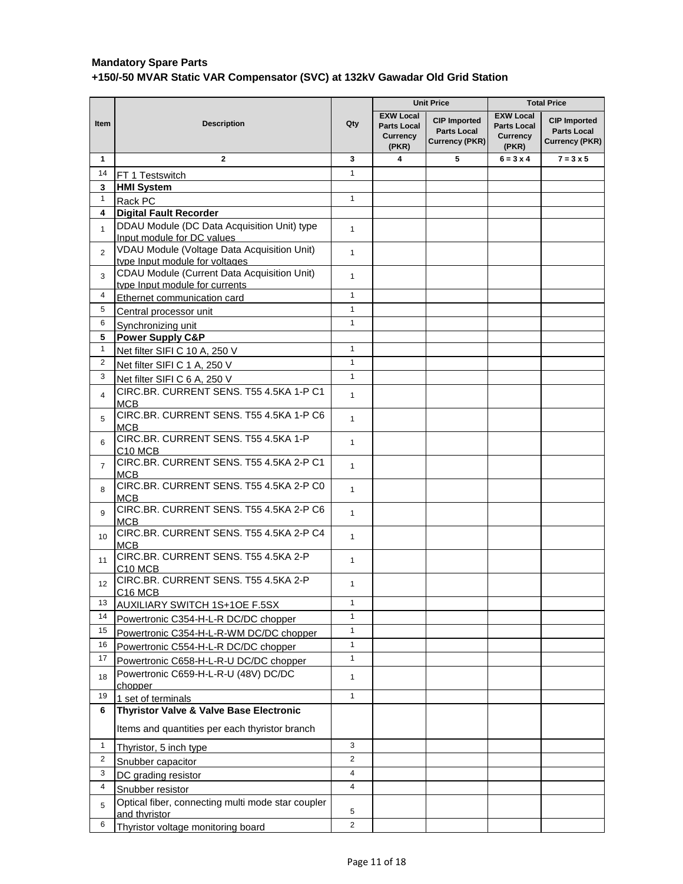|                 |                                                                               |                |                                                             | <b>Unit Price</b>                                           | <b>Total Price</b>                                                 |                                                             |
|-----------------|-------------------------------------------------------------------------------|----------------|-------------------------------------------------------------|-------------------------------------------------------------|--------------------------------------------------------------------|-------------------------------------------------------------|
| <b>Item</b>     | <b>Description</b>                                                            | Qty            | <b>EXW Local</b><br><b>Parts Local</b><br>Currency<br>(PKR) | <b>CIP Imported</b><br><b>Parts Local</b><br>Currency (PKR) | <b>EXW Local</b><br><b>Parts Local</b><br><b>Currency</b><br>(PKR) | <b>CIP Imported</b><br><b>Parts Local</b><br>Currency (PKR) |
| $\mathbf{1}$    | $\mathbf{2}$                                                                  | 3              | 4                                                           | 5                                                           | $6 = 3 \times 4$                                                   | $7 = 3 \times 5$                                            |
| 14              | FT 1 Testswitch                                                               | $\mathbf{1}$   |                                                             |                                                             |                                                                    |                                                             |
| 3               | <b>HMI System</b>                                                             |                |                                                             |                                                             |                                                                    |                                                             |
| $\mathbf{1}$    | Rack PC                                                                       | $\mathbf{1}$   |                                                             |                                                             |                                                                    |                                                             |
| 4               | Digital Fault Recorder                                                        |                |                                                             |                                                             |                                                                    |                                                             |
| $\mathbf{1}$    | DDAU Module (DC Data Acquisition Unit) type<br>Input module for DC values     | $\mathbf{1}$   |                                                             |                                                             |                                                                    |                                                             |
| $\overline{2}$  | VDAU Module (Voltage Data Acquisition Unit)<br>type Input module for voltages | $\mathbf{1}$   |                                                             |                                                             |                                                                    |                                                             |
| 3               | CDAU Module (Current Data Acquisition Unit)<br>type Input module for currents | $\mathbf{1}$   |                                                             |                                                             |                                                                    |                                                             |
| 4               | Ethernet communication card                                                   | $\mathbf{1}$   |                                                             |                                                             |                                                                    |                                                             |
| 5               | Central processor unit                                                        | $\mathbf{1}$   |                                                             |                                                             |                                                                    |                                                             |
| 6               | Synchronizing unit                                                            | $\mathbf{1}$   |                                                             |                                                             |                                                                    |                                                             |
| 5               | <b>Power Supply C&amp;P</b>                                                   |                |                                                             |                                                             |                                                                    |                                                             |
| $\mathbf{1}$    | Net filter SIFI C 10 A, 250 V                                                 | $\mathbf{1}$   |                                                             |                                                             |                                                                    |                                                             |
| 2               | Net filter SIFI C 1 A, 250 V                                                  | $\mathbf{1}$   |                                                             |                                                             |                                                                    |                                                             |
| 3               | Net filter SIFI C 6 A, 250 V                                                  | $\mathbf{1}$   |                                                             |                                                             |                                                                    |                                                             |
| 4               | CIRC.BR. CURRENT SENS. T55 4.5KA 1-P C1<br>МСВ                                | $\mathbf{1}$   |                                                             |                                                             |                                                                    |                                                             |
| 5               | CIRC.BR. CURRENT SENS. T55 4.5KA 1-P C6<br><b>MCB</b>                         | $\mathbf{1}$   |                                                             |                                                             |                                                                    |                                                             |
| 6               | CIRC.BR. CURRENT SENS. T55 4.5KA 1-P<br>C <sub>10</sub> MCB                   | $\mathbf{1}$   |                                                             |                                                             |                                                                    |                                                             |
| $\overline{7}$  | CIRC.BR. CURRENT SENS. T55 4.5KA 2-P C1<br><b>MCB</b>                         | $\mathbf{1}$   |                                                             |                                                             |                                                                    |                                                             |
| 8               | CIRC.BR. CURRENT SENS. T55 4.5KA 2-P C0<br><b>MCB</b>                         | $\mathbf{1}$   |                                                             |                                                             |                                                                    |                                                             |
| 9               | CIRC.BR. CURRENT SENS. T55 4.5KA 2-P C6<br><b>MCB</b>                         | $\mathbf{1}$   |                                                             |                                                             |                                                                    |                                                             |
| 10 <sup>1</sup> | CIRC.BR. CURRENT SENS. T55 4.5KA 2-P C4<br><b>MCB</b>                         | $\mathbf{1}$   |                                                             |                                                             |                                                                    |                                                             |
| 11              | CIRC.BR. CURRENT SENS. T55 4.5KA 2-P<br>C <sub>10</sub> MC <sub>B</sub>       | $\mathbf{1}$   |                                                             |                                                             |                                                                    |                                                             |
| 12              | CIRC.BR. CURRENT SENS. T55 4.5KA 2-P<br>C <sub>16</sub> MCB                   | $\mathbf{1}$   |                                                             |                                                             |                                                                    |                                                             |
| 13              | <b>AUXILIARY SWITCH 1S+1OE F.5SX</b>                                          | $\mathbf{1}$   |                                                             |                                                             |                                                                    |                                                             |
| 14              | Powertronic C354-H-L-R DC/DC chopper                                          | $\mathbf{1}$   |                                                             |                                                             |                                                                    |                                                             |
| 15              | Powertronic C354-H-L-R-WM DC/DC chopper                                       | $\mathbf{1}$   |                                                             |                                                             |                                                                    |                                                             |
| 16              | Powertronic C554-H-L-R DC/DC chopper                                          | $\mathbf{1}$   |                                                             |                                                             |                                                                    |                                                             |
| 17              | Powertronic C658-H-L-R-U DC/DC chopper                                        | $\mathbf{1}$   |                                                             |                                                             |                                                                    |                                                             |
| 18              | Powertronic C659-H-L-R-U (48V) DC/DC                                          | $\mathbf{1}$   |                                                             |                                                             |                                                                    |                                                             |
| 19              | chopper                                                                       | $\mathbf{1}$   |                                                             |                                                             |                                                                    |                                                             |
| 6               | 1 set of terminals<br>Thyristor Valve & Valve Base Electronic                 |                |                                                             |                                                             |                                                                    |                                                             |
|                 |                                                                               |                |                                                             |                                                             |                                                                    |                                                             |
| 1               | Items and quantities per each thyristor branch                                | 3              |                                                             |                                                             |                                                                    |                                                             |
|                 | Thyristor, 5 inch type                                                        | $\overline{2}$ |                                                             |                                                             |                                                                    |                                                             |
| $\overline{2}$  | Snubber capacitor                                                             |                |                                                             |                                                             |                                                                    |                                                             |
| 3               | DC grading resistor                                                           | $\overline{4}$ |                                                             |                                                             |                                                                    |                                                             |
| 4               | Snubber resistor                                                              | $\overline{4}$ |                                                             |                                                             |                                                                    |                                                             |
| 5               | Optical fiber, connecting multi mode star coupler                             | 5              |                                                             |                                                             |                                                                    |                                                             |
| 6               | and thyristor<br>Thyristor voltage monitoring board                           | $\overline{2}$ |                                                             |                                                             |                                                                    |                                                             |
|                 |                                                                               |                |                                                             |                                                             |                                                                    |                                                             |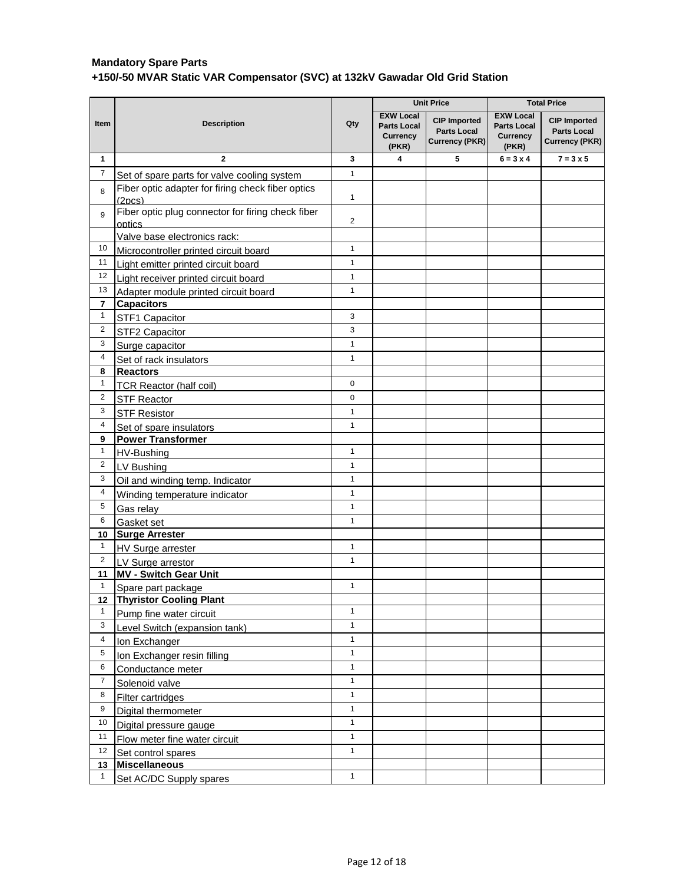|                |                                                                          |                |                                                             | <b>Unit Price</b>                                                  | <b>Total Price</b>                                                 |                                                             |
|----------------|--------------------------------------------------------------------------|----------------|-------------------------------------------------------------|--------------------------------------------------------------------|--------------------------------------------------------------------|-------------------------------------------------------------|
| Item           | <b>Description</b>                                                       | Qty            | <b>EXW Local</b><br><b>Parts Local</b><br>Currency<br>(PKR) | <b>CIP Imported</b><br><b>Parts Local</b><br><b>Currency (PKR)</b> | <b>EXW Local</b><br><b>Parts Local</b><br><b>Currency</b><br>(PKR) | <b>CIP Imported</b><br><b>Parts Local</b><br>Currency (PKR) |
| 1              | $\mathbf{2}$                                                             | 3              | 4                                                           | 5                                                                  | $6 = 3 \times 4$                                                   | $7 = 3 \times 5$                                            |
| $\overline{7}$ | Set of spare parts for valve cooling system                              | $\mathbf{1}$   |                                                             |                                                                    |                                                                    |                                                             |
| 8              | Fiber optic adapter for firing check fiber optics<br>(2 <sub>DCS</sub> ) | $\mathbf{1}$   |                                                             |                                                                    |                                                                    |                                                             |
| 9              | Fiber optic plug connector for firing check fiber<br>optics              | $\overline{2}$ |                                                             |                                                                    |                                                                    |                                                             |
|                | Valve base electronics rack:                                             |                |                                                             |                                                                    |                                                                    |                                                             |
| 10             | Microcontroller printed circuit board                                    | $\mathbf{1}$   |                                                             |                                                                    |                                                                    |                                                             |
| 11             | Light emitter printed circuit board                                      | $\mathbf{1}$   |                                                             |                                                                    |                                                                    |                                                             |
| 12             | Light receiver printed circuit board                                     | $\mathbf{1}$   |                                                             |                                                                    |                                                                    |                                                             |
| 13             | Adapter module printed circuit board                                     | $\mathbf{1}$   |                                                             |                                                                    |                                                                    |                                                             |
| 7              | <b>Capacitors</b>                                                        |                |                                                             |                                                                    |                                                                    |                                                             |
| $\mathbf{1}$   | STF1 Capacitor                                                           | 3              |                                                             |                                                                    |                                                                    |                                                             |
| $\overline{2}$ | STF2 Capacitor                                                           | 3              |                                                             |                                                                    |                                                                    |                                                             |
| 3              | Surge capacitor                                                          | $\mathbf{1}$   |                                                             |                                                                    |                                                                    |                                                             |
| 4              | Set of rack insulators                                                   | $\mathbf{1}$   |                                                             |                                                                    |                                                                    |                                                             |
| 8              | <b>Reactors</b>                                                          |                |                                                             |                                                                    |                                                                    |                                                             |
| $\mathbf{1}$   | <b>TCR Reactor (half coil)</b>                                           | $\mathbf 0$    |                                                             |                                                                    |                                                                    |                                                             |
| $\overline{2}$ | <b>STF Reactor</b>                                                       | $\mathbf 0$    |                                                             |                                                                    |                                                                    |                                                             |
| 3              | <b>STF Resistor</b>                                                      | $\mathbf{1}$   |                                                             |                                                                    |                                                                    |                                                             |
| 4              | Set of spare insulators                                                  | $\mathbf{1}$   |                                                             |                                                                    |                                                                    |                                                             |
| 9              | <b>Power Transformer</b>                                                 |                |                                                             |                                                                    |                                                                    |                                                             |
| $\mathbf{1}$   | HV-Bushing                                                               | $\mathbf{1}$   |                                                             |                                                                    |                                                                    |                                                             |
| $\overline{2}$ | LV Bushing                                                               | $\mathbf{1}$   |                                                             |                                                                    |                                                                    |                                                             |
| 3              | Oil and winding temp. Indicator                                          | $\mathbf{1}$   |                                                             |                                                                    |                                                                    |                                                             |
| 4              | Winding temperature indicator                                            | $\mathbf{1}$   |                                                             |                                                                    |                                                                    |                                                             |
| 5              | Gas relay                                                                | $\mathbf{1}$   |                                                             |                                                                    |                                                                    |                                                             |
| 6              | Gasket set                                                               | $\mathbf{1}$   |                                                             |                                                                    |                                                                    |                                                             |
| 10             | <b>Surge Arrester</b>                                                    |                |                                                             |                                                                    |                                                                    |                                                             |
| $\mathbf{1}$   | <b>HV Surge arrester</b>                                                 | $\mathbf{1}$   |                                                             |                                                                    |                                                                    |                                                             |
| $\overline{2}$ |                                                                          | $\mathbf{1}$   |                                                             |                                                                    |                                                                    |                                                             |
| 11             | LV Surge arrestor<br><b>MV - Switch Gear Unit</b>                        |                |                                                             |                                                                    |                                                                    |                                                             |
| $\mathbf{1}$   | Spare part package                                                       | $\mathbf{1}$   |                                                             |                                                                    |                                                                    |                                                             |
| 12             | <b>Thyristor Cooling Plant</b>                                           |                |                                                             |                                                                    |                                                                    |                                                             |
| $\mathbf{1}$   | Pump fine water circuit                                                  | $\mathbf{1}$   |                                                             |                                                                    |                                                                    |                                                             |
| 3              | Level Switch (expansion tank)                                            | $\mathbf{1}$   |                                                             |                                                                    |                                                                    |                                                             |
| $\overline{4}$ |                                                                          | $\mathbf{1}$   |                                                             |                                                                    |                                                                    |                                                             |
| 5              | Ion Exchanger                                                            | $\mathbf{1}$   |                                                             |                                                                    |                                                                    |                                                             |
| 6              | Ion Exchanger resin filling                                              | $\mathbf{1}$   |                                                             |                                                                    |                                                                    |                                                             |
| $\overline{7}$ | Conductance meter                                                        | $\mathbf{1}$   |                                                             |                                                                    |                                                                    |                                                             |
|                | Solenoid valve                                                           | $\mathbf{1}$   |                                                             |                                                                    |                                                                    |                                                             |
| 8              | Filter cartridges                                                        |                |                                                             |                                                                    |                                                                    |                                                             |
| 9              | Digital thermometer                                                      | $\mathbf{1}$   |                                                             |                                                                    |                                                                    |                                                             |
| 10             | Digital pressure gauge                                                   | $\mathbf{1}$   |                                                             |                                                                    |                                                                    |                                                             |
| 11             | Flow meter fine water circuit                                            | $\mathbf{1}$   |                                                             |                                                                    |                                                                    |                                                             |
| 12             | Set control spares                                                       | $\mathbf{1}$   |                                                             |                                                                    |                                                                    |                                                             |
| 13             | Miscellaneous                                                            |                |                                                             |                                                                    |                                                                    |                                                             |
| 1              | Set AC/DC Supply spares                                                  | $\mathbf{1}$   |                                                             |                                                                    |                                                                    |                                                             |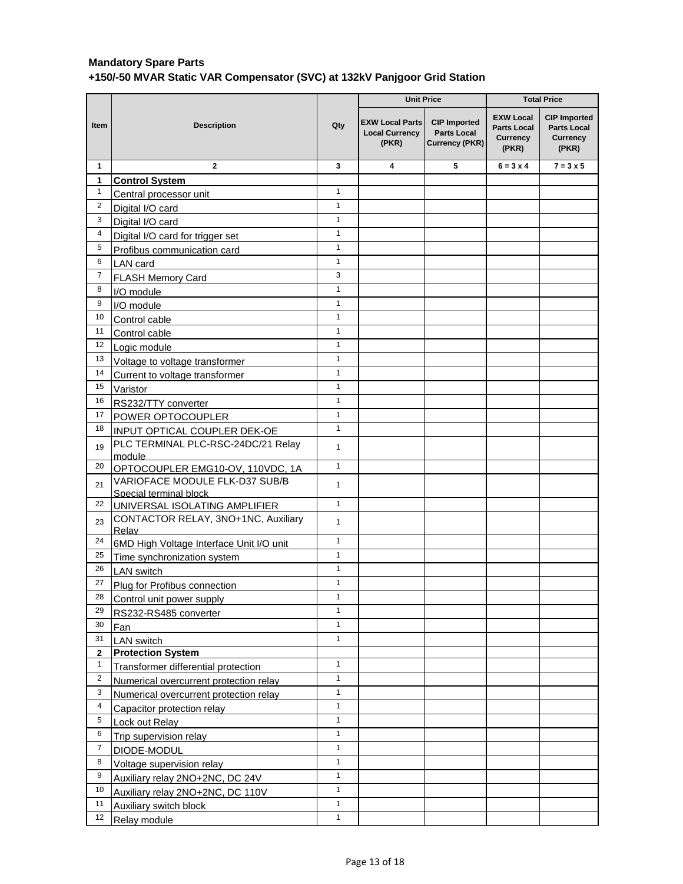|                |                                                          |              | <b>Unit Price</b>                                        |                                                                    | <b>Total Price</b>                                                 |                                                                       |
|----------------|----------------------------------------------------------|--------------|----------------------------------------------------------|--------------------------------------------------------------------|--------------------------------------------------------------------|-----------------------------------------------------------------------|
| Item           | <b>Description</b>                                       | Qty          | <b>EXW Local Parts</b><br><b>Local Currency</b><br>(PKR) | <b>CIP Imported</b><br><b>Parts Local</b><br><b>Currency (PKR)</b> | <b>EXW Local</b><br><b>Parts Local</b><br><b>Currency</b><br>(PKR) | <b>CIP Imported</b><br><b>Parts Local</b><br><b>Currency</b><br>(PKR) |
| $\mathbf{1}$   | $\overline{2}$                                           | 3            | 4                                                        | 5                                                                  | $6 = 3 \times 4$                                                   | $7 = 3 \times 5$                                                      |
| 1              | <b>Control System</b>                                    |              |                                                          |                                                                    |                                                                    |                                                                       |
| $\mathbf{1}$   | Central processor unit                                   | $\mathbf{1}$ |                                                          |                                                                    |                                                                    |                                                                       |
| $\overline{c}$ | Digital I/O card                                         | $\mathbf{1}$ |                                                          |                                                                    |                                                                    |                                                                       |
| 3              | Digital I/O card                                         | $\mathbf{1}$ |                                                          |                                                                    |                                                                    |                                                                       |
| 4              | Digital I/O card for trigger set                         | $\mathbf{1}$ |                                                          |                                                                    |                                                                    |                                                                       |
| 5              | Profibus communication card                              | $\mathbf{1}$ |                                                          |                                                                    |                                                                    |                                                                       |
| 6              | LAN card                                                 | $\mathbf{1}$ |                                                          |                                                                    |                                                                    |                                                                       |
| 7              | <b>FLASH Memory Card</b>                                 | 3            |                                                          |                                                                    |                                                                    |                                                                       |
| 8              | I/O module                                               | $\mathbf{1}$ |                                                          |                                                                    |                                                                    |                                                                       |
| 9              | I/O module                                               | $\mathbf{1}$ |                                                          |                                                                    |                                                                    |                                                                       |
| 10             | Control cable                                            | $\mathbf{1}$ |                                                          |                                                                    |                                                                    |                                                                       |
| 11             | Control cable                                            | $\mathbf{1}$ |                                                          |                                                                    |                                                                    |                                                                       |
| 12             | Logic module                                             | $\mathbf{1}$ |                                                          |                                                                    |                                                                    |                                                                       |
| 13             | Voltage to voltage transformer                           | 1            |                                                          |                                                                    |                                                                    |                                                                       |
| 14             | Current to voltage transformer                           | $\mathbf{1}$ |                                                          |                                                                    |                                                                    |                                                                       |
| 15             | Varistor                                                 | $\mathbf{1}$ |                                                          |                                                                    |                                                                    |                                                                       |
| 16             | RS232/TTY converter                                      | $\mathbf{1}$ |                                                          |                                                                    |                                                                    |                                                                       |
| 17             | POWER OPTOCOUPLER                                        | $\mathbf{1}$ |                                                          |                                                                    |                                                                    |                                                                       |
| 18             | INPUT OPTICAL COUPLER DEK-OE                             | $\mathbf{1}$ |                                                          |                                                                    |                                                                    |                                                                       |
| 19             | PLC TERMINAL PLC-RSC-24DC/21 Relay<br>module             | 1            |                                                          |                                                                    |                                                                    |                                                                       |
| 20             | OPTOCOUPLER EMG10-OV, 110VDC, 1A                         | $\mathbf{1}$ |                                                          |                                                                    |                                                                    |                                                                       |
| 21             | VARIOFACE MODULE FLK-D37 SUB/B<br>Special terminal block | $\mathbf{1}$ |                                                          |                                                                    |                                                                    |                                                                       |
| 22             | UNIVERSAL ISOLATING AMPLIFIER                            | $\mathbf{1}$ |                                                          |                                                                    |                                                                    |                                                                       |
| 23             | CONTACTOR RELAY, 3NO+1NC, Auxiliary<br>Relav             | $\mathbf{1}$ |                                                          |                                                                    |                                                                    |                                                                       |
| 24             | 6MD High Voltage Interface Unit I/O unit                 | $\mathbf{1}$ |                                                          |                                                                    |                                                                    |                                                                       |
| 25             | Time synchronization system                              | $\mathbf{1}$ |                                                          |                                                                    |                                                                    |                                                                       |
| 26             | <b>LAN</b> switch                                        | $\mathbf{1}$ |                                                          |                                                                    |                                                                    |                                                                       |
| 27             | Plug for Profibus connection                             | $\mathbf{1}$ |                                                          |                                                                    |                                                                    |                                                                       |
| 28             | Control unit power supply                                | 1            |                                                          |                                                                    |                                                                    |                                                                       |
| 29             | RS232-RS485 converter                                    | $\mathbf{1}$ |                                                          |                                                                    |                                                                    |                                                                       |
| 30             | Fan                                                      | $\mathbf{1}$ |                                                          |                                                                    |                                                                    |                                                                       |
| 31             | <b>LAN</b> switch                                        | $\mathbf{1}$ |                                                          |                                                                    |                                                                    |                                                                       |
| $\mathbf{2}$   | <b>Protection System</b>                                 |              |                                                          |                                                                    |                                                                    |                                                                       |
| $\mathbf{1}$   | Transformer differential protection                      | $\mathbf{1}$ |                                                          |                                                                    |                                                                    |                                                                       |
| $\overline{2}$ | Numerical overcurrent protection relay                   | $\mathbf{1}$ |                                                          |                                                                    |                                                                    |                                                                       |
| 3              | Numerical overcurrent protection relay                   | $\mathbf{1}$ |                                                          |                                                                    |                                                                    |                                                                       |
| 4              | Capacitor protection relay                               | $\mathbf{1}$ |                                                          |                                                                    |                                                                    |                                                                       |
| 5              | Lock out Relay                                           | $\mathbf{1}$ |                                                          |                                                                    |                                                                    |                                                                       |
| 6              | Trip supervision relay                                   | $\mathbf{1}$ |                                                          |                                                                    |                                                                    |                                                                       |
| $\overline{7}$ | DIODE-MODUL                                              | $\mathbf{1}$ |                                                          |                                                                    |                                                                    |                                                                       |
| 8              | Voltage supervision relay                                | $\mathbf{1}$ |                                                          |                                                                    |                                                                    |                                                                       |
| 9              | Auxiliary relay 2NO+2NC, DC 24V                          | $\mathbf{1}$ |                                                          |                                                                    |                                                                    |                                                                       |
| 10             | Auxiliary relay 2NO+2NC, DC 110V                         | $\mathbf{1}$ |                                                          |                                                                    |                                                                    |                                                                       |
| 11             | Auxiliary switch block                                   | $\mathbf{1}$ |                                                          |                                                                    |                                                                    |                                                                       |
| 12             | Relay module                                             | $\mathbf{1}$ |                                                          |                                                                    |                                                                    |                                                                       |
|                |                                                          |              |                                                          |                                                                    |                                                                    |                                                                       |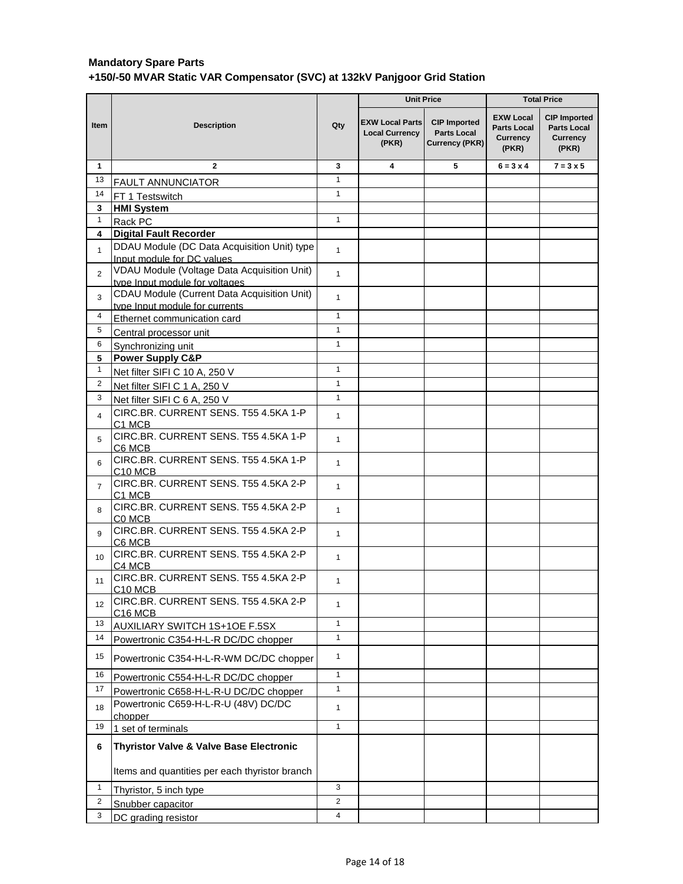|                         |                                                                                 | <b>Unit Price</b>            |                                                          |                                                             | <b>Total Price</b>                                          |                                                                       |
|-------------------------|---------------------------------------------------------------------------------|------------------------------|----------------------------------------------------------|-------------------------------------------------------------|-------------------------------------------------------------|-----------------------------------------------------------------------|
| Item                    | <b>Description</b>                                                              | Qty                          | <b>EXW Local Parts</b><br><b>Local Currency</b><br>(PKR) | <b>CIP Imported</b><br><b>Parts Local</b><br>Currency (PKR) | <b>EXW Local</b><br><b>Parts Local</b><br>Currency<br>(PKR) | <b>CIP Imported</b><br><b>Parts Local</b><br><b>Currency</b><br>(PKR) |
| $\mathbf{1}$            | $\mathbf{2}$                                                                    | 3                            | 4                                                        | 5                                                           | $6 = 3 \times 4$                                            | $7 = 3 \times 5$                                                      |
| 13                      | <b>FAULT ANNUNCIATOR</b>                                                        | $\mathbf{1}$                 |                                                          |                                                             |                                                             |                                                                       |
| 14                      | FT 1 Testswitch                                                                 | $\mathbf{1}$                 |                                                          |                                                             |                                                             |                                                                       |
| 3                       | <b>HMI System</b>                                                               |                              |                                                          |                                                             |                                                             |                                                                       |
| $\mathbf{1}$            | Rack PC                                                                         | $\mathbf{1}$                 |                                                          |                                                             |                                                             |                                                                       |
| 4                       | <b>Digital Fault Recorder</b>                                                   |                              |                                                          |                                                             |                                                             |                                                                       |
| $\mathbf{1}$            | DDAU Module (DC Data Acquisition Unit) type<br>Input module for DC values       | $\mathbf{1}$                 |                                                          |                                                             |                                                             |                                                                       |
| $\overline{2}$          | VDAU Module (Voltage Data Acquisition Unit)<br>type Input module for voltages   | $\mathbf{1}$                 |                                                          |                                                             |                                                             |                                                                       |
| 3                       | CDAU Module (Current Data Acquisition Unit)<br>type Input module for currents   | $\mathbf{1}$                 |                                                          |                                                             |                                                             |                                                                       |
| 4                       | Ethernet communication card                                                     | $\mathbf{1}$                 |                                                          |                                                             |                                                             |                                                                       |
| 5                       | Central processor unit                                                          | $\mathbf{1}$                 |                                                          |                                                             |                                                             |                                                                       |
| 6                       | Synchronizing unit                                                              | $\mathbf{1}$                 |                                                          |                                                             |                                                             |                                                                       |
| 5                       | <b>Power Supply C&amp;P</b>                                                     |                              |                                                          |                                                             |                                                             |                                                                       |
| $\mathbf{1}$            | Net filter SIFI C 10 A, 250 V                                                   | $\mathbf{1}$                 |                                                          |                                                             |                                                             |                                                                       |
| $\overline{2}$          | Net filter SIFI C 1 A, 250 V                                                    | $\mathbf{1}$                 |                                                          |                                                             |                                                             |                                                                       |
| 3                       | Net filter SIFI C 6 A, 250 V                                                    | $\mathbf{1}$                 |                                                          |                                                             |                                                             |                                                                       |
| $\overline{\mathbf{4}}$ | CIRC.BR. CURRENT SENS. T55 4.5KA 1-P<br>C1 MCB                                  | $\mathbf{1}$                 |                                                          |                                                             |                                                             |                                                                       |
| 5                       | CIRC.BR. CURRENT SENS. T55 4.5KA 1-P<br>C6 MCB                                  | $\mathbf{1}$                 |                                                          |                                                             |                                                             |                                                                       |
| 6                       | CIRC.BR. CURRENT SENS. T55 4.5KA 1-P<br>C <sub>10</sub> MC <sub>B</sub>         | $\mathbf{1}$                 |                                                          |                                                             |                                                             |                                                                       |
| $\overline{7}$          | CIRC.BR. CURRENT SENS. T55 4.5KA 2-P<br>C1 MCB                                  | $\mathbf{1}$                 |                                                          |                                                             |                                                             |                                                                       |
| 8                       | CIRC.BR. CURRENT SENS. T55 4.5KA 2-P<br>C0 MCB                                  | $\mathbf{1}$                 |                                                          |                                                             |                                                             |                                                                       |
| 9                       | CIRC.BR. CURRENT SENS. T55 4.5KA 2-P<br>C6 MCB                                  | $\mathbf{1}$                 |                                                          |                                                             |                                                             |                                                                       |
| 10 <sup>1</sup>         | CIRC.BR. CURRENT SENS. T55 4.5KA 2-P<br>C <sub>4</sub> MC <sub>B</sub>          | $\mathbf{1}$                 |                                                          |                                                             |                                                             |                                                                       |
| 11                      | CIRC.BR. CURRENT SENS. T55 4.5KA 2-P<br>C <sub>10</sub> MC <sub>B</sub>         | $\mathbf{1}$                 |                                                          |                                                             |                                                             |                                                                       |
| 12                      | CIRC.BR. CURRENT SENS. T55 4.5KA 2-P<br>C <sub>16</sub> MC <sub>B</sub>         | $\mathbf{1}$                 |                                                          |                                                             |                                                             |                                                                       |
| 13                      | AUXILIARY SWITCH 1S+1OE F.5SX                                                   | $\mathbf{1}$                 |                                                          |                                                             |                                                             |                                                                       |
| 14<br>15                | Powertronic C354-H-L-R DC/DC chopper                                            | $\mathbf{1}$<br>$\mathbf{1}$ |                                                          |                                                             |                                                             |                                                                       |
| 16                      | Powertronic C354-H-L-R-WM DC/DC chopper<br>Powertronic C554-H-L-R DC/DC chopper | $\mathbf{1}$                 |                                                          |                                                             |                                                             |                                                                       |
| 17                      | Powertronic C658-H-L-R-U DC/DC chopper                                          | $\mathbf{1}$                 |                                                          |                                                             |                                                             |                                                                       |
| 18                      | Powertronic C659-H-L-R-U (48V) DC/DC<br>chopper                                 | $\mathbf{1}$                 |                                                          |                                                             |                                                             |                                                                       |
| 19                      | 1 set of terminals                                                              | $\mathbf{1}$                 |                                                          |                                                             |                                                             |                                                                       |
| 6                       | Thyristor Valve & Valve Base Electronic                                         |                              |                                                          |                                                             |                                                             |                                                                       |
|                         | Items and quantities per each thyristor branch                                  |                              |                                                          |                                                             |                                                             |                                                                       |
| $\mathbf{1}$            | Thyristor, 5 inch type                                                          | 3                            |                                                          |                                                             |                                                             |                                                                       |
| $\overline{2}$          | Snubber capacitor                                                               | $\overline{2}$               |                                                          |                                                             |                                                             |                                                                       |
| 3                       | DC grading resistor                                                             | $\overline{4}$               |                                                          |                                                             |                                                             |                                                                       |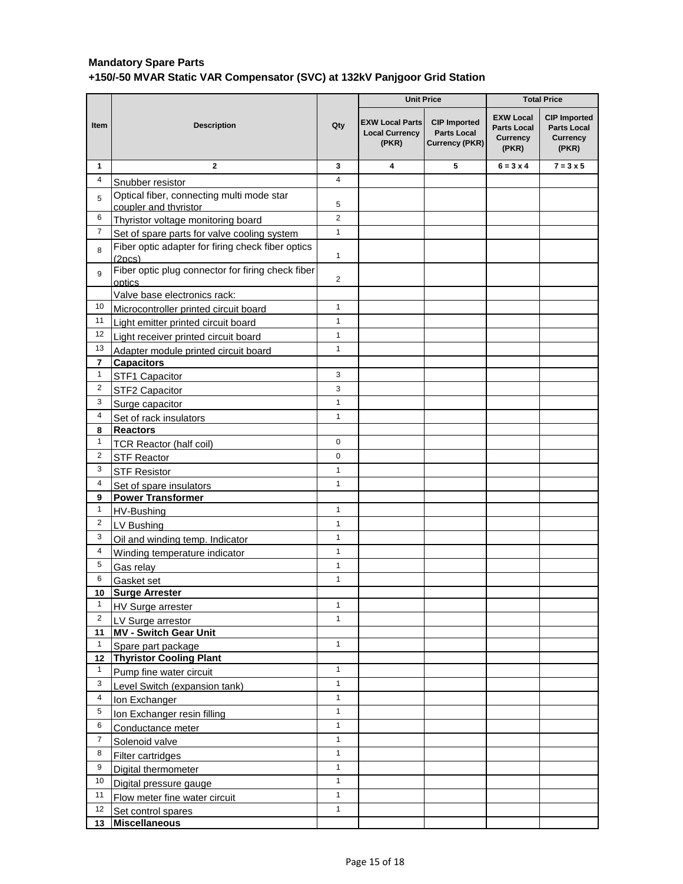|                              |                                                                          |                | <b>Unit Price</b>                                        |                                                                    | <b>Total Price</b>                                                 |                                                                       |
|------------------------------|--------------------------------------------------------------------------|----------------|----------------------------------------------------------|--------------------------------------------------------------------|--------------------------------------------------------------------|-----------------------------------------------------------------------|
| Item                         | <b>Description</b>                                                       | Qty            | <b>EXW Local Parts</b><br><b>Local Currency</b><br>(PKR) | <b>CIP Imported</b><br><b>Parts Local</b><br><b>Currency (PKR)</b> | <b>EXW Local</b><br><b>Parts Local</b><br><b>Currency</b><br>(PKR) | <b>CIP Imported</b><br><b>Parts Local</b><br><b>Currency</b><br>(PKR) |
| $\mathbf{1}$                 | $\mathbf{2}$                                                             | 3              | 4                                                        | 5                                                                  | $6 = 3 \times 4$                                                   | $7 = 3 \times 5$                                                      |
| 4                            | Snubber resistor                                                         | $\overline{4}$ |                                                          |                                                                    |                                                                    |                                                                       |
| 5                            | Optical fiber, connecting multi mode star                                |                |                                                          |                                                                    |                                                                    |                                                                       |
|                              | coupler and thyristor                                                    | 5              |                                                          |                                                                    |                                                                    |                                                                       |
| 6                            | Thyristor voltage monitoring board                                       | $\overline{2}$ |                                                          |                                                                    |                                                                    |                                                                       |
| $\overline{7}$               | Set of spare parts for valve cooling system                              | $\mathbf{1}$   |                                                          |                                                                    |                                                                    |                                                                       |
| 8                            | Fiber optic adapter for firing check fiber optics<br>(2 <sub>DCS</sub> ) | 1              |                                                          |                                                                    |                                                                    |                                                                       |
| 9                            | Fiber optic plug connector for firing check fiber                        | $\overline{2}$ |                                                          |                                                                    |                                                                    |                                                                       |
|                              | optics                                                                   |                |                                                          |                                                                    |                                                                    |                                                                       |
| 10                           | Valve base electronics rack:                                             |                |                                                          |                                                                    |                                                                    |                                                                       |
| 11                           | Microcontroller printed circuit board                                    | $\mathbf{1}$   |                                                          |                                                                    |                                                                    |                                                                       |
| 12                           | Light emitter printed circuit board                                      | $\mathbf{1}$   |                                                          |                                                                    |                                                                    |                                                                       |
| 13                           | Light receiver printed circuit board                                     | $\mathbf{1}$   |                                                          |                                                                    |                                                                    |                                                                       |
|                              | Adapter module printed circuit board                                     | 1              |                                                          |                                                                    |                                                                    |                                                                       |
| $\overline{\mathbf{r}}$<br>1 | <b>Capacitors</b>                                                        | 3              |                                                          |                                                                    |                                                                    |                                                                       |
| $\overline{c}$               | STF1 Capacitor                                                           | 3              |                                                          |                                                                    |                                                                    |                                                                       |
| 3                            | STF2 Capacitor                                                           | $\mathbf{1}$   |                                                          |                                                                    |                                                                    |                                                                       |
| 4                            | Surge capacitor                                                          | $\mathbf{1}$   |                                                          |                                                                    |                                                                    |                                                                       |
| 8                            | Set of rack insulators<br><b>Reactors</b>                                |                |                                                          |                                                                    |                                                                    |                                                                       |
| 1                            | <b>TCR Reactor (half coil)</b>                                           | $\pmb{0}$      |                                                          |                                                                    |                                                                    |                                                                       |
| 2                            | <b>STF Reactor</b>                                                       | 0              |                                                          |                                                                    |                                                                    |                                                                       |
| 3                            | <b>STF Resistor</b>                                                      | $\mathbf{1}$   |                                                          |                                                                    |                                                                    |                                                                       |
| 4                            | Set of spare insulators                                                  | $\mathbf{1}$   |                                                          |                                                                    |                                                                    |                                                                       |
| 9                            | <b>Power Transformer</b>                                                 |                |                                                          |                                                                    |                                                                    |                                                                       |
| 1                            | HV-Bushing                                                               | 1              |                                                          |                                                                    |                                                                    |                                                                       |
| $\overline{c}$               | LV Bushing                                                               | $\mathbf{1}$   |                                                          |                                                                    |                                                                    |                                                                       |
| 3                            | Oil and winding temp. Indicator                                          | $\mathbf{1}$   |                                                          |                                                                    |                                                                    |                                                                       |
| 4                            | Winding temperature indicator                                            | $\mathbf{1}$   |                                                          |                                                                    |                                                                    |                                                                       |
| 5                            | Gas relay                                                                | $\mathbf{1}$   |                                                          |                                                                    |                                                                    |                                                                       |
| 6                            | Gasket set                                                               | $\mathbf{1}$   |                                                          |                                                                    |                                                                    |                                                                       |
| 10                           | <b>Surge Arrester</b>                                                    |                |                                                          |                                                                    |                                                                    |                                                                       |
| 1                            | HV Surge arrester                                                        | $\mathbf{1}$   |                                                          |                                                                    |                                                                    |                                                                       |
| $\overline{2}$               | LV Surge arrestor                                                        | $\mathbf{1}$   |                                                          |                                                                    |                                                                    |                                                                       |
| 11                           | <b>MV - Switch Gear Unit</b>                                             |                |                                                          |                                                                    |                                                                    |                                                                       |
| $\mathbf{1}$                 | Spare part package                                                       | $\mathbf{1}$   |                                                          |                                                                    |                                                                    |                                                                       |
| 12                           | <b>Thyristor Cooling Plant</b>                                           |                |                                                          |                                                                    |                                                                    |                                                                       |
| $\mathbf{1}$                 | Pump fine water circuit                                                  | $\mathbf{1}$   |                                                          |                                                                    |                                                                    |                                                                       |
| 3                            | Level Switch (expansion tank)                                            | $\mathbf{1}$   |                                                          |                                                                    |                                                                    |                                                                       |
| 4                            | Ion Exchanger                                                            | $\mathbf{1}$   |                                                          |                                                                    |                                                                    |                                                                       |
| 5                            | Ion Exchanger resin filling                                              | $\mathbf{1}$   |                                                          |                                                                    |                                                                    |                                                                       |
| 6                            | Conductance meter                                                        | $\mathbf{1}$   |                                                          |                                                                    |                                                                    |                                                                       |
| $\overline{7}$               | Solenoid valve                                                           | $\mathbf{1}$   |                                                          |                                                                    |                                                                    |                                                                       |
| 8                            | Filter cartridges                                                        | $\mathbf{1}$   |                                                          |                                                                    |                                                                    |                                                                       |
| 9                            | Digital thermometer                                                      | $\mathbf{1}$   |                                                          |                                                                    |                                                                    |                                                                       |
| 10                           | Digital pressure gauge                                                   | $\mathbf{1}$   |                                                          |                                                                    |                                                                    |                                                                       |
| 11                           | Flow meter fine water circuit                                            | $\mathbf{1}$   |                                                          |                                                                    |                                                                    |                                                                       |
| 12                           | Set control spares                                                       | $\mathbf{1}$   |                                                          |                                                                    |                                                                    |                                                                       |
| 13                           | <b>Miscellaneous</b>                                                     |                |                                                          |                                                                    |                                                                    |                                                                       |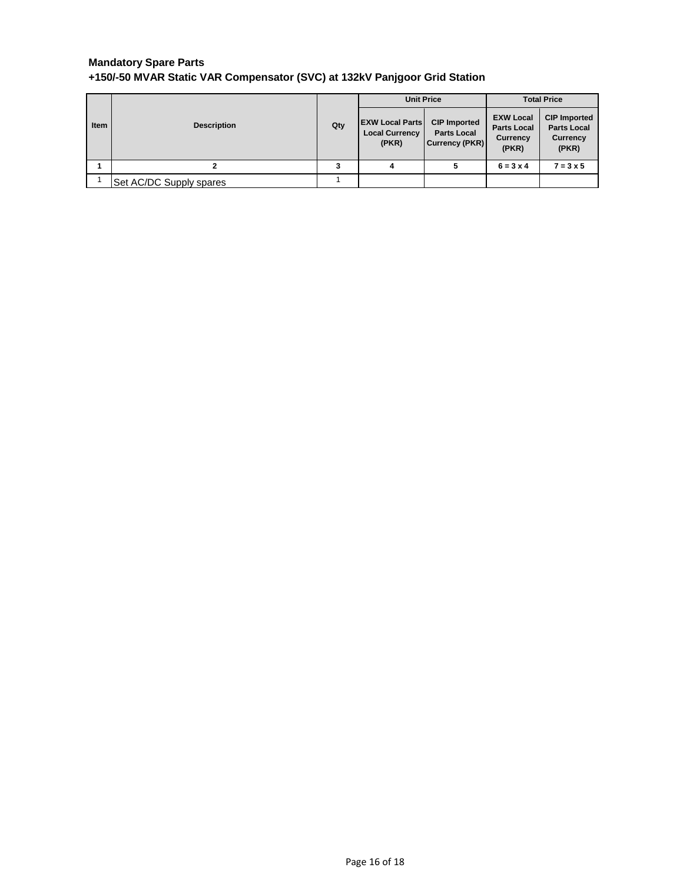| <b>Item</b> | <b>Description</b>      | Qty | <b>Unit Price</b>                                        |                                                                    | <b>Total Price</b>                                                 |                                                                |
|-------------|-------------------------|-----|----------------------------------------------------------|--------------------------------------------------------------------|--------------------------------------------------------------------|----------------------------------------------------------------|
|             |                         |     | <b>EXW Local Parts</b><br><b>Local Currency</b><br>(PKR) | <b>CIP Imported</b><br><b>Parts Local</b><br><b>Currency (PKR)</b> | <b>EXW Local</b><br><b>Parts Local</b><br><b>Currency</b><br>(PKR) | <b>CIP Imported</b><br><b>Parts Local</b><br>Currency<br>(PKR) |
|             |                         |     | 4                                                        |                                                                    | $6 = 3 \times 4$                                                   | $7 = 3 \times 5$                                               |
|             | Set AC/DC Supply spares |     |                                                          |                                                                    |                                                                    |                                                                |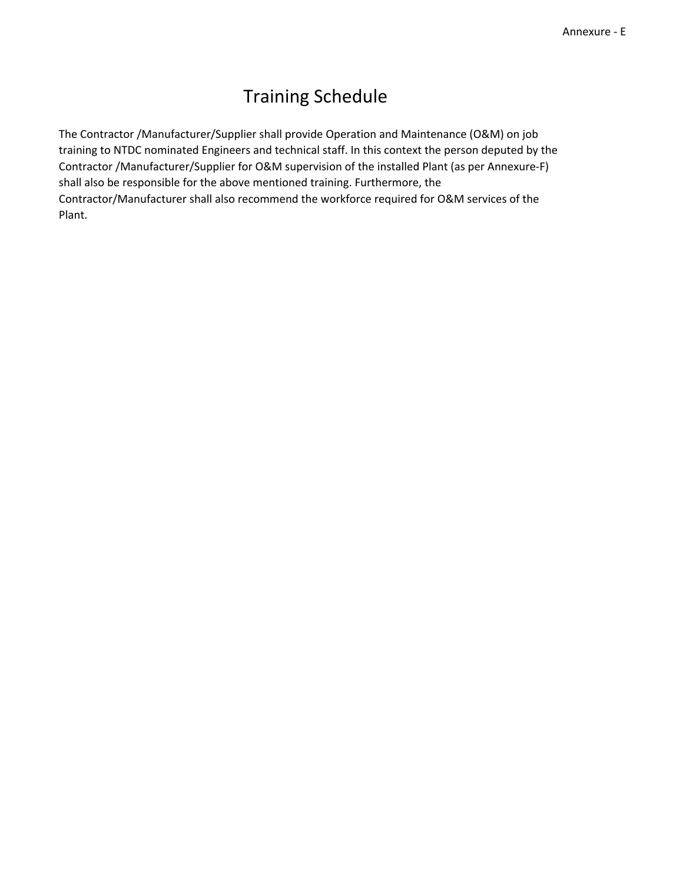# Training Schedule

The Contractor /Manufacturer/Supplier shall provide Operation and Maintenance (O&M) on job training to NTDC nominated Engineers and technical staff. In this context the person deputed by the Contractor /Manufacturer/Supplier for O&M supervision of the installed Plant (as per Annexure-F) shall also be responsible for the above mentioned training. Furthermore, the Contractor/Manufacturer shall also recommend the workforce required for O&M services of the Plant.